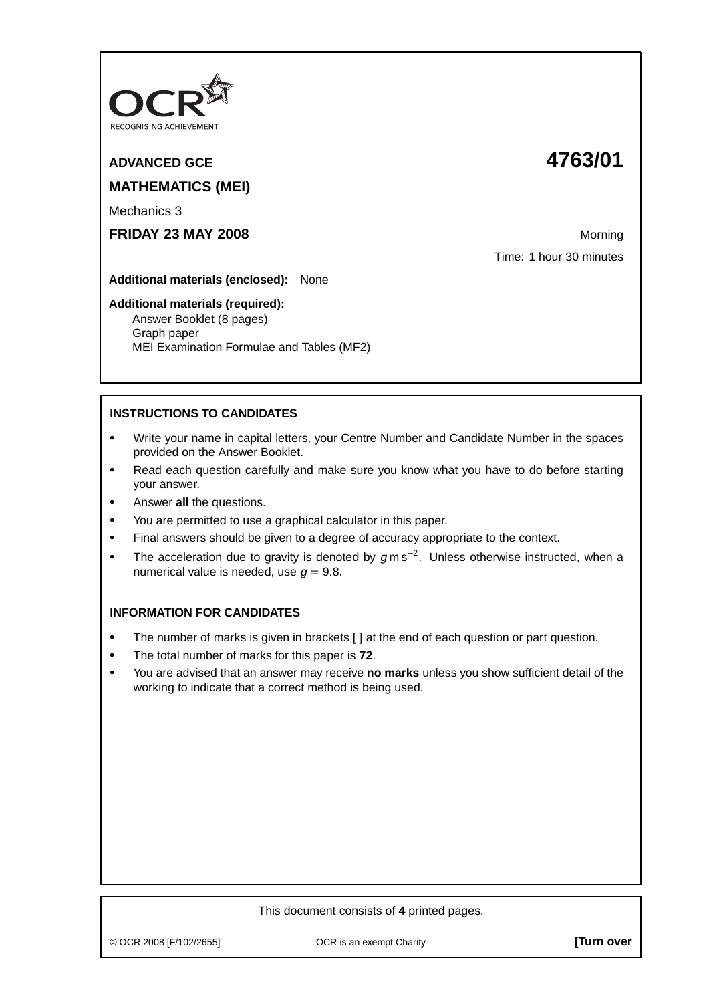

# **ADVANCED GCE 4763/01 MATHEMATICS (MEI)**

Mechanics 3

**FRIDAY 23 MAY 2008** Morning Manual Morning Morning Morning

Time: 1 hour 30 minutes

**Additional materials (enclosed):** None

#### **Additional materials (required):**

Answer Booklet (8 pages) Graph paper MEI Examination Formulae and Tables (MF2)

## **INSTRUCTIONS TO CANDIDATES**

- **•** Write your name in capital letters, your Centre Number and Candidate Number in the spaces provided on the Answer Booklet.
- **•** Read each question carefully and make sure you know what you have to do before starting your answer.
- **•** Answer **all** the questions.
- **•** You are permitted to use a graphical calculator in this paper.
- **•** Final answers should be given to a degree of accuracy appropriate to the context.
- **•** The acceleration due to gravity is denoted by <sup>g</sup> m s−<sup>2</sup> . Unless otherwise instructed, when a numerical value is needed, use  $q = 9.8$ .

### **INFORMATION FOR CANDIDATES**

- The number of marks is given in brackets [] at the end of each question or part question.
- **•** The total number of marks for this paper is **72**.
- **•** You are advised that an answer may receive **no marks** unless you show sufficient detail of the working to indicate that a correct method is being used.

### This document consists of **4** printed pages.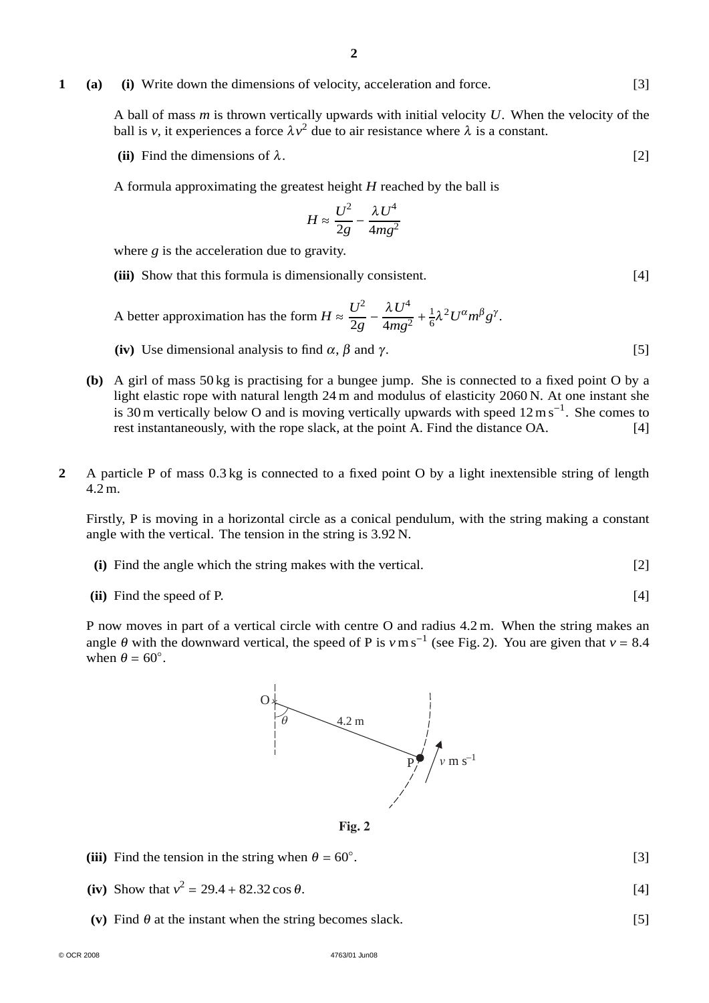#### **1** (a) (i) Write down the dimensions of velocity, acceleration and force. [3]

A ball of mass *m* is thrown vertically upwards with initial velocity *U*. When the velocity of the ball is *v*, it experiences a force  $\lambda v^2$  due to air resistance where  $\lambda$  is a constant.

- **(ii)** Find the dimensions of  $\lambda$ . [2]
- A formula approximating the greatest height *H* reached by the ball is

$$
H \approx \frac{U^2}{2g} - \frac{\lambda U^4}{4mg^2}
$$

where *g* is the acceleration due to gravity.

**(iii)** Show that this formula is dimensionally consistent. [4]

A better approximation has the form  $H \approx \frac{U^2}{2g} - \frac{\lambda U^4}{4mg^2} + \frac{1}{6}\lambda^2 U^{\alpha}m^{\beta}g^{\gamma}$ .

- (iv) Use dimensional analysis to find  $\alpha$ ,  $\beta$  and  $\gamma$ . [5]
- **(b)** A girl of mass 50 kg is practising for a bungee jump. She is connected to a fixed point O by a light elastic rope with natural length 24 m and modulus of elasticity 2060 N. At one instant she is 30 m vertically below O and is moving vertically upwards with speed  $12 \text{ m s}^{-1}$ . She comes to rest instantaneously, with the rope slack, at the point A. Find the distance OA. [4]
- **2** A particle P of mass 0.3 kg is connected to a fixed point O by a light inextensible string of length 4.2 m.

Firstly, P is moving in a horizontal circle as a conical pendulum, with the string making a constant angle with the vertical. The tension in the string is 3.92 N.

- **(i)** Find the angle which the string makes with the vertical. [2]
- **(ii)** Find the speed of P. [4]

P now moves in part of a vertical circle with centre O and radius 4.2 m. When the string makes an angle  $\theta$  with the downward vertical, the speed of P is  $v \text{ m s}^{-1}$  (see Fig. 2). You are given that  $v = 8.4$ when  $\theta = 60^\circ$ .



**Fig. 2**

- (iii) Find the tension in the string when  $\theta = 60^\circ$ . .  $[3]$
- (iv) Show that  $v^2 = 29.4 + 82.32 \cos \theta$ . [4]
- (v) Find  $\theta$  at the instant when the string becomes slack. [5]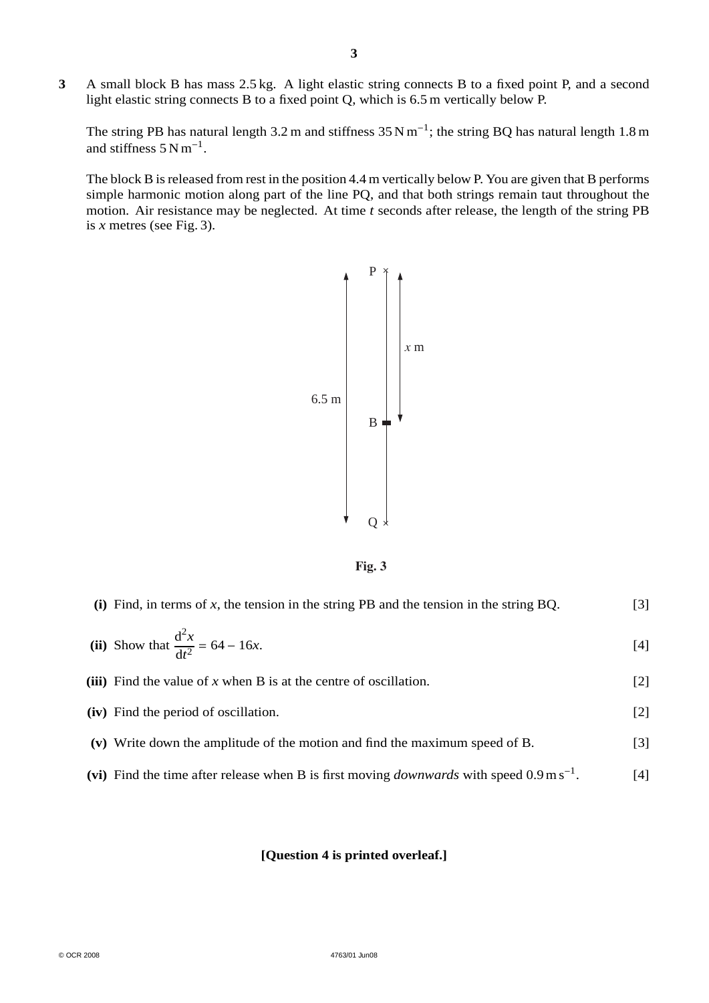**3** A small block B has mass 2.5 kg. A light elastic string connects B to a fixed point P, and a second light elastic string connects B to a fixed point Q, which is 6.5 m vertically below P.

The string PB has natural length 3.2 m and stiffness  $35 \text{ N m}^{-1}$ ; the string BQ has natural length 1.8 m and stiffness  $5 N m^{-1}$ .

The block B is released from rest in the position 4.4 m vertically below P. You are given that B performs simple harmonic motion along part of the line PQ, and that both strings remain taut throughout the motion. Air resistance may be neglected. At time *t* seconds after release, the length of the string PB is  $x$  metres (see Fig. 3).





| (i) Find, in terms of x, the tension in the string PB and the tension in the string BQ.                      | $[3]$ |
|--------------------------------------------------------------------------------------------------------------|-------|
| (ii) Show that $\frac{d^2x}{dt^2} = 64 - 16x$ .                                                              | $[4]$ |
| (iii) Find the value of x when B is at the centre of oscillation.                                            | $[2]$ |
| (iv) Find the period of oscillation.                                                                         | $[2]$ |
| (v) Write down the amplitude of the motion and find the maximum speed of B.                                  | $[3]$ |
| (vi) Find the time after release when B is first moving <i>downwards</i> with speed $0.9 \text{ m s}^{-1}$ . | [4]   |

#### **[Question 4 is printed overleaf.]**